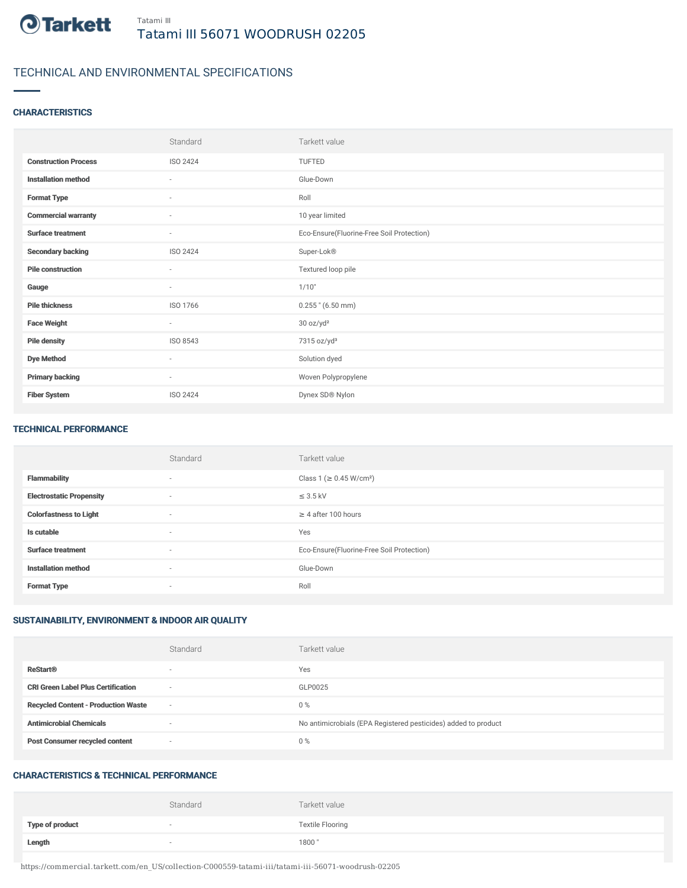

# TECHNICAL AND ENVIRONMENTAL SPECIFICATIONS

## **CHARACTERISTICS**

|                             | Standard                 | Tarkett value                             |
|-----------------------------|--------------------------|-------------------------------------------|
| <b>Construction Process</b> | <b>ISO 2424</b>          | TUFTED                                    |
| <b>Installation method</b>  | $\sim$                   | Glue-Down                                 |
| <b>Format Type</b>          | $\sim$                   | Roll                                      |
| <b>Commercial warranty</b>  | $\sim$                   | 10 year limited                           |
| <b>Surface treatment</b>    | $\overline{\phantom{a}}$ | Eco-Ensure(Fluorine-Free Soil Protection) |
| <b>Secondary backing</b>    | ISO 2424                 | Super-Lok®                                |
| <b>Pile construction</b>    | $\sim$                   | Textured loop pile                        |
| Gauge                       | $\overline{\phantom{a}}$ | 1/10"                                     |
| <b>Pile thickness</b>       | ISO 1766                 | $0.255$ " (6.50 mm)                       |
| <b>Face Weight</b>          | $\sim$                   | 30 oz/yd <sup>2</sup>                     |
| <b>Pile density</b>         | ISO 8543                 | 7315 oz/yd <sup>3</sup>                   |
| <b>Dye Method</b>           | $\sim$                   | Solution dyed                             |
| <b>Primary backing</b>      | $\sim$                   | Woven Polypropylene                       |
| <b>Fiber System</b>         | <b>ISO 2424</b>          | Dynex SD® Nylon                           |

#### TECHNICAL PERFORMANCE

|                                 | Standard                 | Tarkett value                             |
|---------------------------------|--------------------------|-------------------------------------------|
| <b>Flammability</b>             | $\sim$                   | Class 1 (≥ 0.45 W/cm <sup>2</sup> )       |
| <b>Electrostatic Propensity</b> | $\sim$                   | $\leq$ 3.5 kV                             |
| <b>Colorfastness to Light</b>   | $\sim$                   | $\geq$ 4 after 100 hours                  |
| Is cutable                      | $\overline{\phantom{a}}$ | Yes                                       |
| <b>Surface treatment</b>        | $\sim$                   | Eco-Ensure(Fluorine-Free Soil Protection) |
| <b>Installation method</b>      | $\sim$                   | Glue-Down                                 |
| <b>Format Type</b>              | $\overline{\phantom{a}}$ | Roll                                      |

## SUSTAINABILITY, ENVIRONMENT & INDOOR AIR QUALITY

|                                            | Standard                 | Tarkett value                                                  |
|--------------------------------------------|--------------------------|----------------------------------------------------------------|
| <b>ReStart®</b>                            | $\overline{\phantom{a}}$ | Yes                                                            |
| <b>CRI Green Label Plus Certification</b>  | $\overline{\phantom{a}}$ | GLP0025                                                        |
| <b>Recycled Content - Production Waste</b> | $\sim$                   | $0\%$                                                          |
| <b>Antimicrobial Chemicals</b>             | $\overline{\phantom{a}}$ | No antimicrobials (EPA Registered pesticides) added to product |
| <b>Post Consumer recycled content</b>      | $\overline{\phantom{a}}$ | $0\%$                                                          |

#### CHARACTERISTICS & TECHNICAL PERFORMANCE

|                        | Standard                 | Tarkett value           |
|------------------------|--------------------------|-------------------------|
| <b>Type of product</b> | $\overline{\phantom{a}}$ | <b>Textile Flooring</b> |
| Length                 |                          | 1800"                   |

https://commercial.tarkett.com/en\_US/collection-C000559-tatami-iii/tatami-iii-56071-woodrush-02205